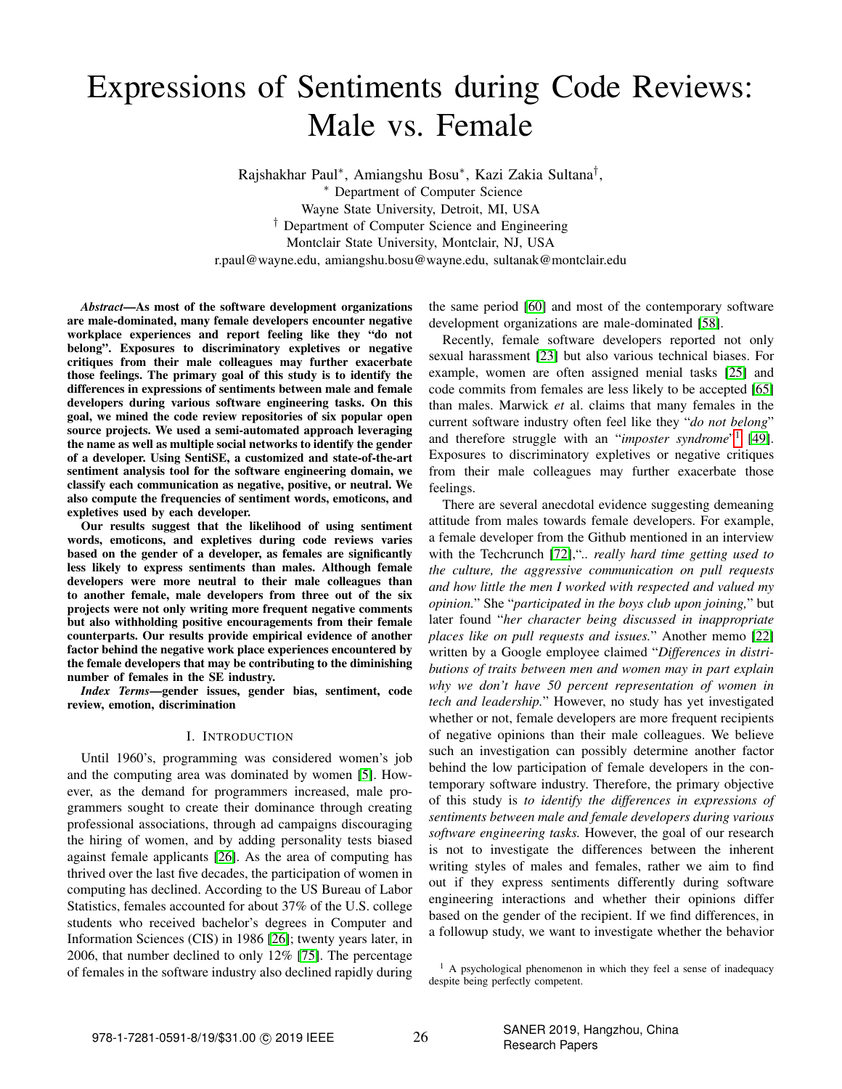# Expressions of Sentiments during Code Reviews: Male vs. Female

Rajshakhar Paul<sup>∗</sup> , Amiangshu Bosu<sup>∗</sup> , Kazi Zakia Sultana† , <sup>∗</sup> Department of Computer Science Wayne State University, Detroit, MI, USA † Department of Computer Science and Engineering Montclair State University, Montclair, NJ, USA r.paul@wayne.edu, amiangshu.bosu@wayne.edu, sultanak@montclair.edu

*Abstract*—As most of the software development organizations are male-dominated, many female developers encounter negative workplace experiences and report feeling like they "do not belong". Exposures to discriminatory expletives or negative critiques from their male colleagues may further exacerbate those feelings. The primary goal of this study is to identify the differences in expressions of sentiments between male and female developers during various software engineering tasks. On this goal, we mined the code review repositories of six popular open source projects. We used a semi-automated approach leveraging the name as well as multiple social networks to identify the gender of a developer. Using SentiSE, a customized and state-of-the-art sentiment analysis tool for the software engineering domain, we classify each communication as negative, positive, or neutral. We also compute the frequencies of sentiment words, emoticons, and expletives used by each developer.

Our results suggest that the likelihood of using sentiment words, emoticons, and expletives during code reviews varies based on the gender of a developer, as females are significantly less likely to express sentiments than males. Although female developers were more neutral to their male colleagues than to another female, male developers from three out of the six projects were not only writing more frequent negative comments but also withholding positive encouragements from their female counterparts. Our results provide empirical evidence of another factor behind the negative work place experiences encountered by the female developers that may be contributing to the diminishing number of females in the SE industry.

*Index Terms*—gender issues, gender bias, sentiment, code review, emotion, discrimination

# I. INTRODUCTION

Until 1960's, programming was considered women's job and the computing area was dominated by women [\[5\]](#page-10-0). However, as the demand for programmers increased, male programmers sought to create their dominance through creating professional associations, through ad campaigns discouraging the hiring of women, and by adding personality tests biased against female applicants [\[26\]](#page-10-1). As the area of computing has thrived over the last five decades, the participation of women in computing has declined. According to the US Bureau of Labor Statistics, females accounted for about 37% of the U.S. college students who received bachelor's degrees in Computer and Information Sciences (CIS) in 1986 [\[26\]](#page-10-1); twenty years later, in 2006, that number declined to only 12% [\[75\]](#page-11-0). The percentage of females in the software industry also declined rapidly during the same period [\[60\]](#page-11-1) and most of the contemporary software development organizations are male-dominated [\[58\]](#page-11-2).

Recently, female software developers reported not only sexual harassment [\[23\]](#page-10-2) but also various technical biases. For example, women are often assigned menial tasks [\[25\]](#page-10-3) and code commits from females are less likely to be accepted [\[65\]](#page-11-3) than males. Marwick *et* al. claims that many females in the current software industry often feel like they "*do not belong*" and therefore struggle with an "imposter syndrome"<sup>[1](#page-0-0)</sup> [\[49\]](#page-10-4). Exposures to discriminatory expletives or negative critiques from their male colleagues may further exacerbate those feelings.

There are several anecdotal evidence suggesting demeaning attitude from males towards female developers. For example, a female developer from the Github mentioned in an interview with the Techcrunch [\[72\]](#page-11-4),"*.. really hard time getting used to the culture, the aggressive communication on pull requests and how little the men I worked with respected and valued my opinion.*" She "*participated in the boys club upon joining,*" but later found "*her character being discussed in inappropriate places like on pull requests and issues.*" Another memo [\[22\]](#page-10-5) written by a Google employee claimed "*Differences in distributions of traits between men and women may in part explain why we don't have 50 percent representation of women in tech and leadership.*" However, no study has yet investigated whether or not, female developers are more frequent recipients of negative opinions than their male colleagues. We believe such an investigation can possibly determine another factor behind the low participation of female developers in the contemporary software industry. Therefore, the primary objective of this study is *to identify the differences in expressions of sentiments between male and female developers during various software engineering tasks.* However, the goal of our research is not to investigate the differences between the inherent writing styles of males and females, rather we aim to find out if they express sentiments differently during software engineering interactions and whether their opinions differ based on the gender of the recipient. If we find differences, in a followup study, we want to investigate whether the behavior

<span id="page-0-0"></span> $<sup>1</sup>$  A psychological phenomenon in which they feel a sense of inadequacy</sup> despite being perfectly competent.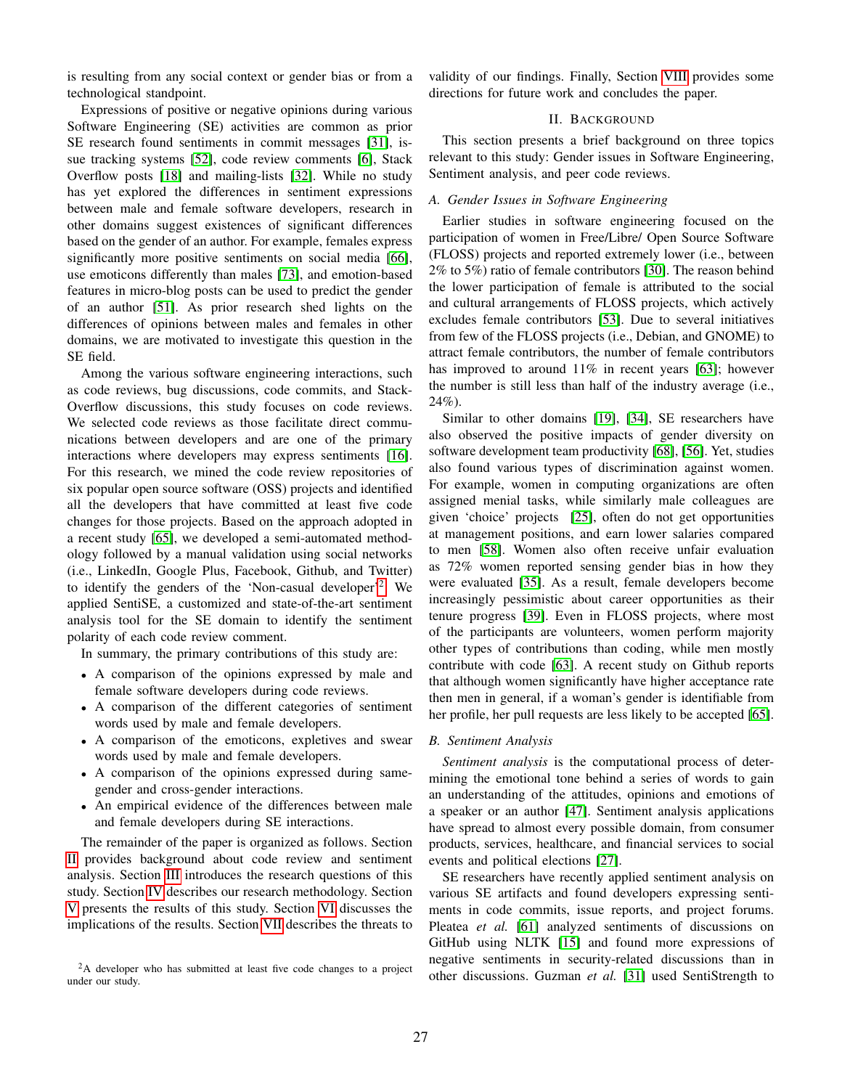is resulting from any social context or gender bias or from a technological standpoint.

Expressions of positive or negative opinions during various Software Engineering (SE) activities are common as prior SE research found sentiments in commit messages [\[31\]](#page-10-6), issue tracking systems [\[52\]](#page-11-5), code review comments [\[6\]](#page-10-7), Stack Overflow posts [\[18\]](#page-10-8) and mailing-lists [\[32\]](#page-10-9). While no study has yet explored the differences in sentiment expressions between male and female software developers, research in other domains suggest existences of significant differences based on the gender of an author. For example, females express significantly more positive sentiments on social media [\[66\]](#page-11-6), use emoticons differently than males [\[73\]](#page-11-7), and emotion-based features in micro-blog posts can be used to predict the gender of an author [\[51\]](#page-11-8). As prior research shed lights on the differences of opinions between males and females in other domains, we are motivated to investigate this question in the SE field.

Among the various software engineering interactions, such as code reviews, bug discussions, code commits, and Stack-Overflow discussions, this study focuses on code reviews. We selected code reviews as those facilitate direct communications between developers and are one of the primary interactions where developers may express sentiments [\[16\]](#page-10-10). For this research, we mined the code review repositories of six popular open source software (OSS) projects and identified all the developers that have committed at least five code changes for those projects. Based on the approach adopted in a recent study [\[65\]](#page-11-3), we developed a semi-automated methodology followed by a manual validation using social networks (i.e., LinkedIn, Google Plus, Facebook, Github, and Twitter) to identify the genders of the 'Non-casual developer'[2](#page-1-0) . We applied SentiSE, a customized and state-of-the-art sentiment analysis tool for the SE domain to identify the sentiment polarity of each code review comment.

In summary, the primary contributions of this study are:

- A comparison of the opinions expressed by male and female software developers during code reviews.
- A comparison of the different categories of sentiment words used by male and female developers.
- A comparison of the emoticons, expletives and swear words used by male and female developers.
- A comparison of the opinions expressed during samegender and cross-gender interactions.
- An empirical evidence of the differences between male and female developers during SE interactions.

The remainder of the paper is organized as follows. Section [II](#page-1-1) provides background about code review and sentiment analysis. Section [III](#page-2-0) introduces the research questions of this study. Section [IV](#page-3-0) describes our research methodology. Section [V](#page-5-0) presents the results of this study. Section [VI](#page-7-0) discusses the implications of the results. Section [VII](#page-9-0) describes the threats to validity of our findings. Finally, Section [VIII](#page-9-1) provides some directions for future work and concludes the paper.

# II. BACKGROUND

<span id="page-1-1"></span>This section presents a brief background on three topics relevant to this study: Gender issues in Software Engineering, Sentiment analysis, and peer code reviews.

# *A. Gender Issues in Software Engineering*

Earlier studies in software engineering focused on the participation of women in Free/Libre/ Open Source Software (FLOSS) projects and reported extremely lower (i.e., between 2% to 5%) ratio of female contributors [\[30\]](#page-10-11). The reason behind the lower participation of female is attributed to the social and cultural arrangements of FLOSS projects, which actively excludes female contributors [\[53\]](#page-11-9). Due to several initiatives from few of the FLOSS projects (i.e., Debian, and GNOME) to attract female contributors, the number of female contributors has improved to around 11% in recent years [\[63\]](#page-11-10); however the number is still less than half of the industry average (i.e., 24%).

Similar to other domains [\[19\]](#page-10-12), [\[34\]](#page-10-13), SE researchers have also observed the positive impacts of gender diversity on software development team productivity [\[68\]](#page-11-11), [\[56\]](#page-11-12). Yet, studies also found various types of discrimination against women. For example, women in computing organizations are often assigned menial tasks, while similarly male colleagues are given 'choice' projects [\[25\]](#page-10-3), often do not get opportunities at management positions, and earn lower salaries compared to men [\[58\]](#page-11-2). Women also often receive unfair evaluation as 72% women reported sensing gender bias in how they were evaluated [\[35\]](#page-10-14). As a result, female developers become increasingly pessimistic about career opportunities as their tenure progress [\[39\]](#page-10-15). Even in FLOSS projects, where most of the participants are volunteers, women perform majority other types of contributions than coding, while men mostly contribute with code [\[63\]](#page-11-10). A recent study on Github reports that although women significantly have higher acceptance rate then men in general, if a woman's gender is identifiable from her profile, her pull requests are less likely to be accepted [\[65\]](#page-11-3).

# *B. Sentiment Analysis*

*Sentiment analysis* is the computational process of determining the emotional tone behind a series of words to gain an understanding of the attitudes, opinions and emotions of a speaker or an author [\[47\]](#page-10-16). Sentiment analysis applications have spread to almost every possible domain, from consumer products, services, healthcare, and financial services to social events and political elections [\[27\]](#page-10-17).

SE researchers have recently applied sentiment analysis on various SE artifacts and found developers expressing sentiments in code commits, issue reports, and project forums. Pleatea *et al.* [\[61\]](#page-11-13) analyzed sentiments of discussions on GitHub using NLTK [\[15\]](#page-10-18) and found more expressions of negative sentiments in security-related discussions than in other discussions. Guzman *et al.* [\[31\]](#page-10-6) used SentiStrength to

<span id="page-1-0"></span> $2A$  developer who has submitted at least five code changes to a project under our study.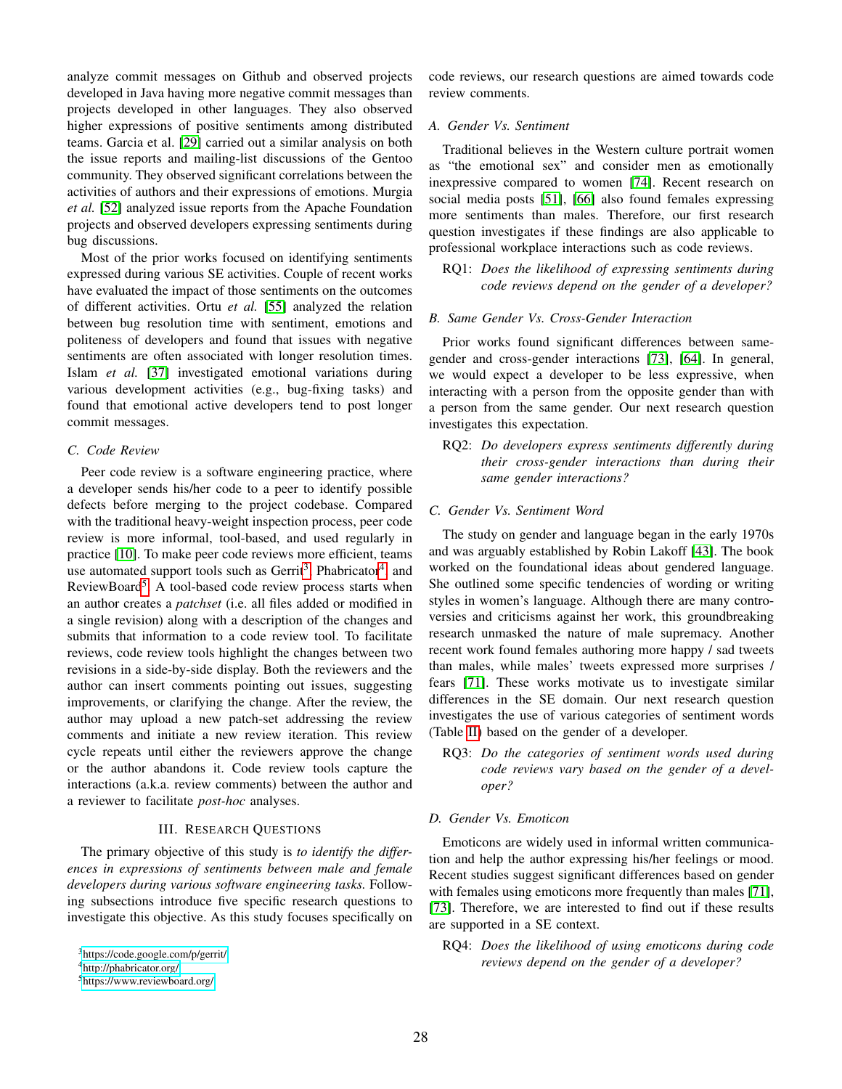analyze commit messages on Github and observed projects developed in Java having more negative commit messages than projects developed in other languages. They also observed higher expressions of positive sentiments among distributed teams. Garcia et al. [\[29\]](#page-10-19) carried out a similar analysis on both the issue reports and mailing-list discussions of the Gentoo community. They observed significant correlations between the activities of authors and their expressions of emotions. Murgia *et al.* [\[52\]](#page-11-5) analyzed issue reports from the Apache Foundation projects and observed developers expressing sentiments during bug discussions.

Most of the prior works focused on identifying sentiments expressed during various SE activities. Couple of recent works have evaluated the impact of those sentiments on the outcomes of different activities. Ortu *et al.* [\[55\]](#page-11-14) analyzed the relation between bug resolution time with sentiment, emotions and politeness of developers and found that issues with negative sentiments are often associated with longer resolution times. Islam *et al.* [\[37\]](#page-10-20) investigated emotional variations during various development activities (e.g., bug-fixing tasks) and found that emotional active developers tend to post longer commit messages.

# *C. Code Review*

Peer code review is a software engineering practice, where a developer sends his/her code to a peer to identify possible defects before merging to the project codebase. Compared with the traditional heavy-weight inspection process, peer code review is more informal, tool-based, and used regularly in practice [\[10\]](#page-10-21). To make peer code reviews more efficient, teams use automated support tools such as Gerrit<sup>[3](#page-2-1)</sup>, Phabricator<sup>[4](#page-2-2)</sup>, and ReviewBoard<sup>[5](#page-2-3)</sup>. A tool-based code review process starts when an author creates a *patchset* (i.e. all files added or modified in a single revision) along with a description of the changes and submits that information to a code review tool. To facilitate reviews, code review tools highlight the changes between two revisions in a side-by-side display. Both the reviewers and the author can insert comments pointing out issues, suggesting improvements, or clarifying the change. After the review, the author may upload a new patch-set addressing the review comments and initiate a new review iteration. This review cycle repeats until either the reviewers approve the change or the author abandons it. Code review tools capture the interactions (a.k.a. review comments) between the author and a reviewer to facilitate *post-hoc* analyses.

## III. RESEARCH QUESTIONS

<span id="page-2-0"></span>The primary objective of this study is *to identify the differences in expressions of sentiments between male and female developers during various software engineering tasks.* Following subsections introduce five specific research questions to investigate this objective. As this study focuses specifically on

code reviews, our research questions are aimed towards code review comments.

#### *A. Gender Vs. Sentiment*

Traditional believes in the Western culture portrait women as "the emotional sex" and consider men as emotionally inexpressive compared to women [\[74\]](#page-11-15). Recent research on social media posts [\[51\]](#page-11-8), [\[66\]](#page-11-6) also found females expressing more sentiments than males. Therefore, our first research question investigates if these findings are also applicable to professional workplace interactions such as code reviews.

# RQ1: *Does the likelihood of expressing sentiments during code reviews depend on the gender of a developer?*

# *B. Same Gender Vs. Cross-Gender Interaction*

Prior works found significant differences between samegender and cross-gender interactions [\[73\]](#page-11-7), [\[64\]](#page-11-16). In general, we would expect a developer to be less expressive, when interacting with a person from the opposite gender than with a person from the same gender. Our next research question investigates this expectation.

# RQ2: *Do developers express sentiments differently during their cross-gender interactions than during their same gender interactions?*

#### *C. Gender Vs. Sentiment Word*

The study on gender and language began in the early 1970s and was arguably established by Robin Lakoff [\[43\]](#page-10-22). The book worked on the foundational ideas about gendered language. She outlined some specific tendencies of wording or writing styles in women's language. Although there are many controversies and criticisms against her work, this groundbreaking research unmasked the nature of male supremacy. Another recent work found females authoring more happy / sad tweets than males, while males' tweets expressed more surprises / fears [\[71\]](#page-11-17). These works motivate us to investigate similar differences in the SE domain. Our next research question investigates the use of various categories of sentiment words (Table [II\)](#page-5-1) based on the gender of a developer.

RQ3: *Do the categories of sentiment words used during code reviews vary based on the gender of a developer?*

# *D. Gender Vs. Emoticon*

Emoticons are widely used in informal written communication and help the author expressing his/her feelings or mood. Recent studies suggest significant differences based on gender with females using emoticons more frequently than males [\[71\]](#page-11-17), [\[73\]](#page-11-7). Therefore, we are interested to find out if these results are supported in a SE context.

RQ4: *Does the likelihood of using emoticons during code reviews depend on the gender of a developer?*

<span id="page-2-1"></span><sup>3</sup><https://code.google.com/p/gerrit/>

<span id="page-2-2"></span><sup>4</sup><http://phabricator.org/>

<span id="page-2-3"></span><sup>5</sup><https://www.reviewboard.org/>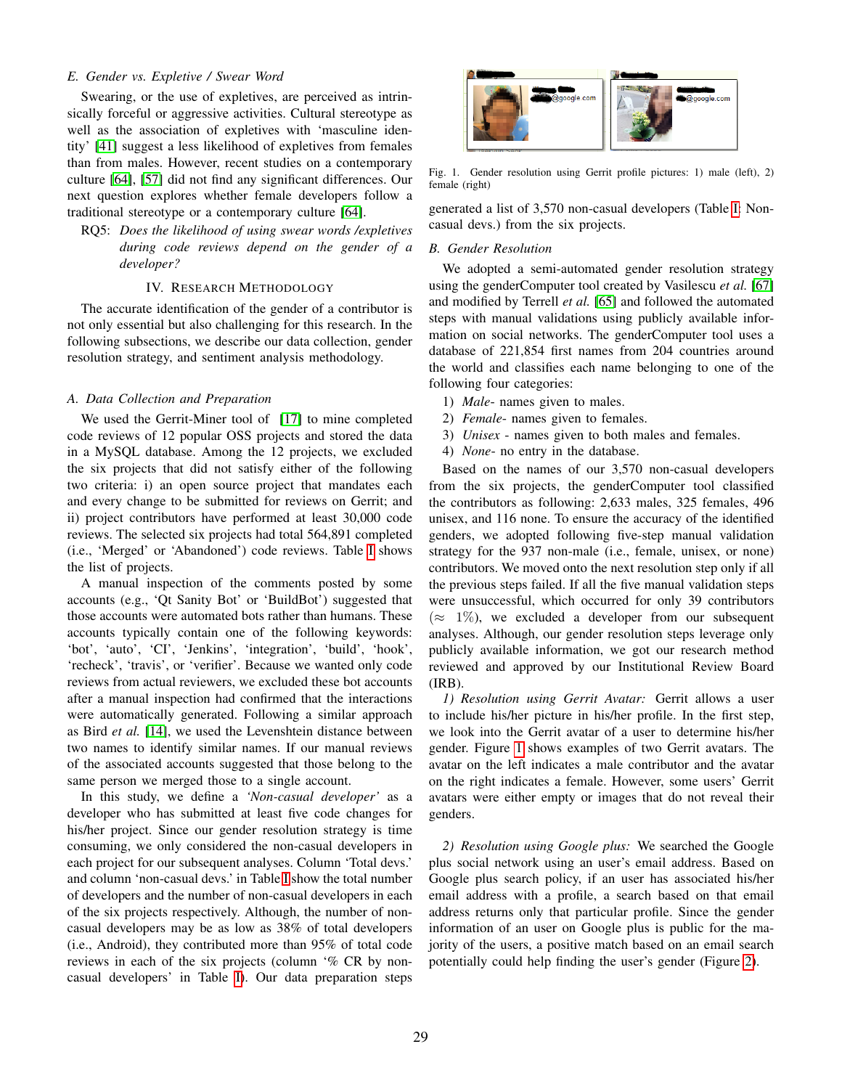# *E. Gender vs. Expletive / Swear Word*

Swearing, or the use of expletives, are perceived as intrinsically forceful or aggressive activities. Cultural stereotype as well as the association of expletives with 'masculine identity' [\[41\]](#page-10-23) suggest a less likelihood of expletives from females than from males. However, recent studies on a contemporary culture [\[64\]](#page-11-16), [\[57\]](#page-11-18) did not find any significant differences. Our next question explores whether female developers follow a traditional stereotype or a contemporary culture [\[64\]](#page-11-16).

RQ5: *Does the likelihood of using swear words /expletives during code reviews depend on the gender of a developer?*

# IV. RESEARCH METHODOLOGY

<span id="page-3-0"></span>The accurate identification of the gender of a contributor is not only essential but also challenging for this research. In the following subsections, we describe our data collection, gender resolution strategy, and sentiment analysis methodology.

## *A. Data Collection and Preparation*

We used the Gerrit-Miner tool of [\[17\]](#page-10-24) to mine completed code reviews of 12 popular OSS projects and stored the data in a MySQL database. Among the 12 projects, we excluded the six projects that did not satisfy either of the following two criteria: i) an open source project that mandates each and every change to be submitted for reviews on Gerrit; and ii) project contributors have performed at least 30,000 code reviews. The selected six projects had total 564,891 completed (i.e., 'Merged' or 'Abandoned') code reviews. Table [I](#page-4-0) shows the list of projects.

A manual inspection of the comments posted by some accounts (e.g., 'Qt Sanity Bot' or 'BuildBot') suggested that those accounts were automated bots rather than humans. These accounts typically contain one of the following keywords: 'bot', 'auto', 'CI', 'Jenkins', 'integration', 'build', 'hook', 'recheck', 'travis', or 'verifier'. Because we wanted only code reviews from actual reviewers, we excluded these bot accounts after a manual inspection had confirmed that the interactions were automatically generated. Following a similar approach as Bird *et al.* [\[14\]](#page-10-25), we used the Levenshtein distance between two names to identify similar names. If our manual reviews of the associated accounts suggested that those belong to the same person we merged those to a single account.

In this study, we define a *'Non-casual developer'* as a developer who has submitted at least five code changes for his/her project. Since our gender resolution strategy is time consuming, we only considered the non-casual developers in each project for our subsequent analyses. Column 'Total devs.' and column 'non-casual devs.' in Table [I](#page-4-0) show the total number of developers and the number of non-casual developers in each of the six projects respectively. Although, the number of noncasual developers may be as low as 38% of total developers (i.e., Android), they contributed more than 95% of total code reviews in each of the six projects (column '% CR by noncasual developers' in Table [I\)](#page-4-0). Our data preparation steps



<span id="page-3-1"></span>Fig. 1. Gender resolution using Gerrit profile pictures: 1) male (left), 2) female (right)

generated a list of 3,570 non-casual developers (Table [I:](#page-4-0) Noncasual devs.) from the six projects.

# *B. Gender Resolution*

We adopted a semi-automated gender resolution strategy using the genderComputer tool created by Vasilescu *et al.* [\[67\]](#page-11-19) and modified by Terrell *et al.* [\[65\]](#page-11-3) and followed the automated steps with manual validations using publicly available information on social networks. The genderComputer tool uses a database of 221,854 first names from 204 countries around the world and classifies each name belonging to one of the following four categories:

- 1) *Male* names given to males.
- 2) *Female* names given to females.
- 3) *Unisex* names given to both males and females.
- 4) *None* no entry in the database.

Based on the names of our 3,570 non-casual developers from the six projects, the genderComputer tool classified the contributors as following: 2,633 males, 325 females, 496 unisex, and 116 none. To ensure the accuracy of the identified genders, we adopted following five-step manual validation strategy for the 937 non-male (i.e., female, unisex, or none) contributors. We moved onto the next resolution step only if all the previous steps failed. If all the five manual validation steps were unsuccessful, which occurred for only 39 contributors  $(\approx 1\%)$ , we excluded a developer from our subsequent analyses. Although, our gender resolution steps leverage only publicly available information, we got our research method reviewed and approved by our Institutional Review Board (IRB).

*1) Resolution using Gerrit Avatar:* Gerrit allows a user to include his/her picture in his/her profile. In the first step, we look into the Gerrit avatar of a user to determine his/her gender. Figure [1](#page-3-1) shows examples of two Gerrit avatars. The avatar on the left indicates a male contributor and the avatar on the right indicates a female. However, some users' Gerrit avatars were either empty or images that do not reveal their genders.

*2) Resolution using Google plus:* We searched the Google plus social network using an user's email address. Based on Google plus search policy, if an user has associated his/her email address with a profile, a search based on that email address returns only that particular profile. Since the gender information of an user on Google plus is public for the majority of the users, a positive match based on an email search potentially could help finding the user's gender (Figure [2\)](#page-4-1).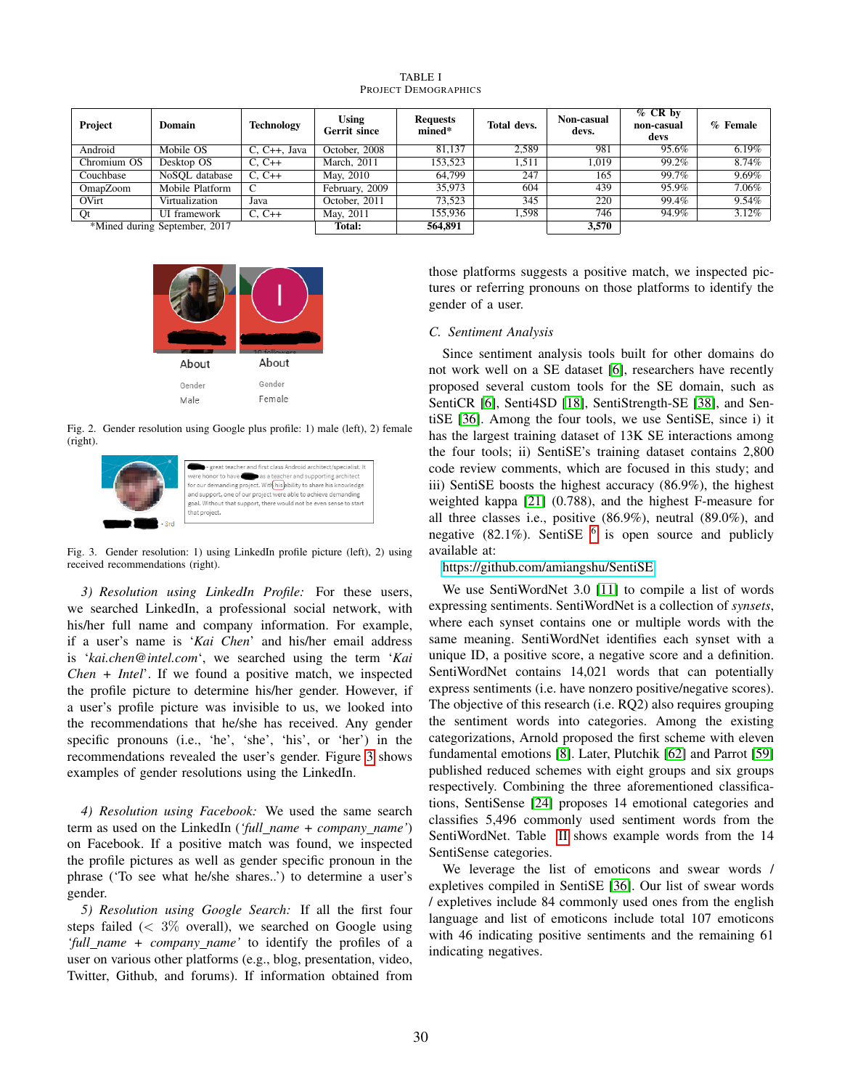<span id="page-4-0"></span>

| Project                       | Domain          | <b>Technology</b> | Using<br><b>Gerrit since</b> | <b>Requests</b><br>mined* | Total devs. | Non-casual<br>devs. | $%$ CR by<br>non-casual<br>devs | % Female |
|-------------------------------|-----------------|-------------------|------------------------------|---------------------------|-------------|---------------------|---------------------------------|----------|
| Android                       | Mobile OS       | $C, C++, Java$    | October, 2008                | 81.137                    | 2.589       | 981                 | 95.6%                           | $6.19\%$ |
| Chromium OS                   | Desktop OS      | $C. C++$          | March, 2011                  | 153,523                   | 1.511       | 1.019               | 99.2%                           | 8.74%    |
| Couchbase                     | NoSOL database  | $C. C++$          | May, 2010                    | 64.799                    | 247         | 165                 | 99.7%                           | 9.69%    |
| OmapZoom                      | Mobile Platform |                   | February, 2009               | 35,973                    | 604         | 439                 | 95.9%                           | 7.06%    |
| OVirt                         | Virtualization  | Java              | October, 2011                | 73.523                    | 345         | 220                 | 99.4%                           | 9.54%    |
| Qt                            | UI framework    | $C. C++$          | May, 2011                    | 155,936                   | 1.598       | 746                 | 94.9%                           | $3.12\%$ |
| *Mined during September, 2017 |                 |                   | <b>Total:</b>                | 564.891                   |             | 3,570               |                                 |          |

TABLE I PROJECT DEMOGRAPHICS



Fig. 2. Gender resolution using Google plus profile: 1) male (left), 2) female (right).

<span id="page-4-1"></span>

<span id="page-4-2"></span>Fig. 3. Gender resolution: 1) using LinkedIn profile picture (left), 2) using received recommendations (right).

*3) Resolution using LinkedIn Profile:* For these users, we searched LinkedIn, a professional social network, with his/her full name and company information. For example, if a user's name is '*Kai Chen*' and his/her email address is '*kai.chen@intel.com*', we searched using the term '*Kai Chen + Intel*'. If we found a positive match, we inspected the profile picture to determine his/her gender. However, if a user's profile picture was invisible to us, we looked into the recommendations that he/she has received. Any gender specific pronouns (i.e., 'he', 'she', 'his', or 'her') in the recommendations revealed the user's gender. Figure [3](#page-4-2) shows examples of gender resolutions using the LinkedIn.

*4) Resolution using Facebook:* We used the same search term as used on the LinkedIn (*'full name + company name'*) on Facebook. If a positive match was found, we inspected the profile pictures as well as gender specific pronoun in the phrase ('To see what he/she shares..') to determine a user's gender.

*5) Resolution using Google Search:* If all the first four steps failed  $\langle \langle 3 \rangle \rangle$  overall), we searched on Google using *'full name + company name'* to identify the profiles of a user on various other platforms (e.g., blog, presentation, video, Twitter, Github, and forums). If information obtained from those platforms suggests a positive match, we inspected pictures or referring pronouns on those platforms to identify the gender of a user.

# *C. Sentiment Analysis*

Since sentiment analysis tools built for other domains do not work well on a SE dataset [\[6\]](#page-10-7), researchers have recently proposed several custom tools for the SE domain, such as SentiCR [\[6\]](#page-10-7), Senti4SD [\[18\]](#page-10-8), SentiStrength-SE [\[38\]](#page-10-26), and SentiSE [\[36\]](#page-10-27). Among the four tools, we use SentiSE, since i) it has the largest training dataset of 13K SE interactions among the four tools; ii) SentiSE's training dataset contains 2,800 code review comments, which are focused in this study; and iii) SentiSE boosts the highest accuracy (86.9%), the highest weighted kappa [\[21\]](#page-10-28) (0.788), and the highest F-measure for all three classes i.e., positive (86.9%), neutral (89.0%), and negative  $(82.1\%)$ . SentiSE  $<sup>6</sup>$  $<sup>6</sup>$  $<sup>6</sup>$  is open source and publicly</sup> available at:

[https://github.com/amiangshu/SentiSE.](https://github.com/amiangshu/SentiSE)

We use SentiWordNet 3.0 [\[11\]](#page-10-29) to compile a list of words expressing sentiments. SentiWordNet is a collection of *synsets*, where each synset contains one or multiple words with the same meaning. SentiWordNet identifies each synset with a unique ID, a positive score, a negative score and a definition. SentiWordNet contains 14,021 words that can potentially express sentiments (i.e. have nonzero positive/negative scores). The objective of this research (i.e. RQ2) also requires grouping the sentiment words into categories. Among the existing categorizations, Arnold proposed the first scheme with eleven fundamental emotions [\[8\]](#page-10-30). Later, Plutchik [\[62\]](#page-11-20) and Parrot [\[59\]](#page-11-21) published reduced schemes with eight groups and six groups respectively. Combining the three aforementioned classifications, SentiSense [\[24\]](#page-10-31) proposes 14 emotional categories and classifies 5,496 commonly used sentiment words from the SentiWordNet. Table [II](#page-5-1) shows example words from the 14 SentiSense categories.

We leverage the list of emoticons and swear words / expletives compiled in SentiSE [\[36\]](#page-10-27). Our list of swear words / expletives include 84 commonly used ones from the english language and list of emoticons include total 107 emoticons with 46 indicating positive sentiments and the remaining 61 indicating negatives.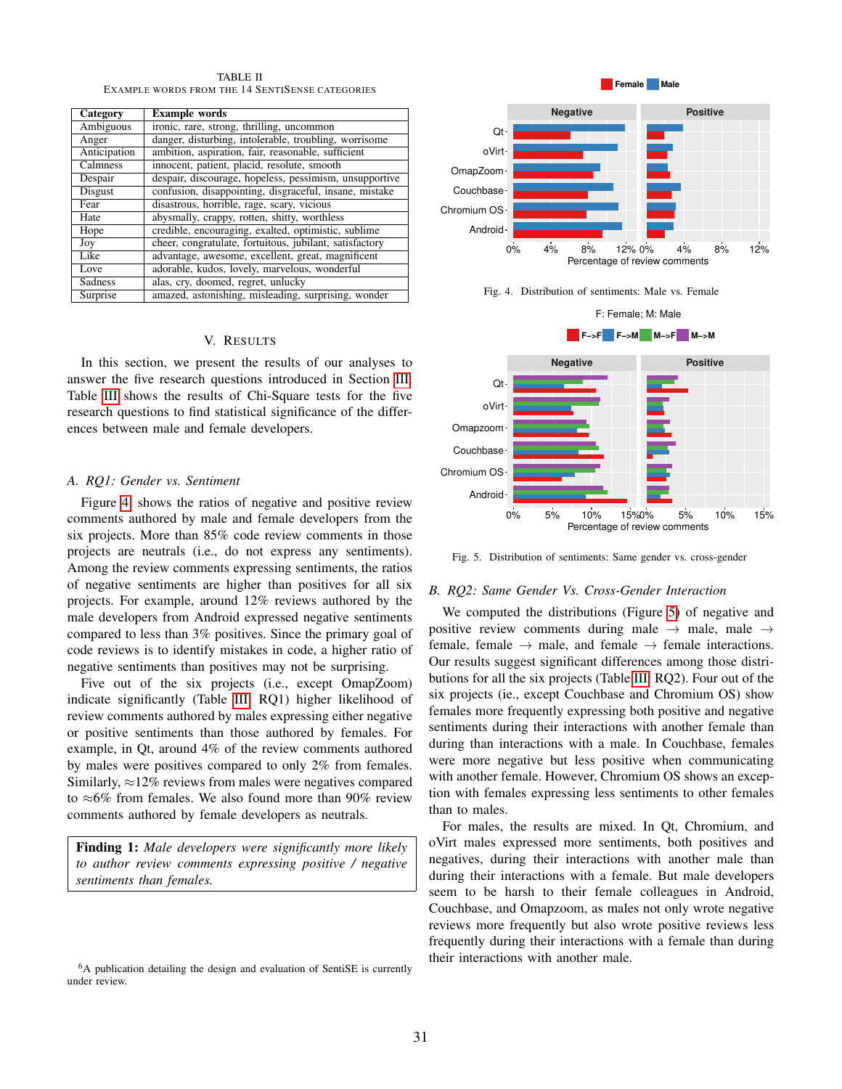TABLE II EXAMPLE WORDS FROM THE 14 SENTISENSE CATEGORIES

<span id="page-5-1"></span>

| Category     | <b>Example</b> words                                    |
|--------------|---------------------------------------------------------|
|              |                                                         |
| Ambiguous    | ironic, rare, strong, thrilling, uncommon               |
| Anger        | danger, disturbing, intolerable, troubling, worrisome   |
| Anticipation | ambition, aspiration, fair, reasonable, sufficient      |
| Calmness     | innocent, patient, placid, resolute, smooth             |
| Despair      | despair, discourage, hopeless, pessimism, unsupportive  |
| Disgust      | confusion, disappointing, disgraceful, insane, mistake  |
| Fear         | disastrous, horrible, rage, scary, vicious              |
| Hate         | abysmally, crappy, rotten, shitty, worthless            |
| Hope         | credible, encouraging, exalted, optimistic, sublime     |
| Joy          | cheer, congratulate, fortuitous, jubilant, satisfactory |
| Like         | advantage, awesome, excellent, great, magnificent       |
| Love         | adorable, kudos, lovely, marvelous, wonderful           |
| Sadness      | alas, cry, doomed, regret, unlucky                      |
| Surprise     | amazed, astonishing, misleading, surprising, wonder     |

# V. RESULTS

<span id="page-5-0"></span>In this section, we present the results of our analyses to answer the five research questions introduced in Section [III.](#page-2-0) Table [III](#page-6-0) shows the results of Chi-Square tests for the five research questions to find statistical significance of the differences between male and female developers.

#### *A. RQ1: Gender vs. Sentiment*

Figure [4,](#page-5-3) shows the ratios of negative and positive review comments authored by male and female developers from the six projects. More than 85% code review comments in those projects are neutrals (i.e., do not express any sentiments). Among the review comments expressing sentiments, the ratios of negative sentiments are higher than positives for all six projects. For example, around 12% reviews authored by the male developers from Android expressed negative sentiments compared to less than 3% positives. Since the primary goal of code reviews is to identify mistakes in code, a higher ratio of negative sentiments than positives may not be surprising.

Five out of the six projects (i.e., except OmapZoom) indicate significantly (Table [III:](#page-6-0) RQ1) higher likelihood of review comments authored by males expressing either negative or positive sentiments than those authored by females. For example, in Qt, around 4% of the review comments authored by males were positives compared to only 2% from females. Similarly,  $\approx$ 12% reviews from males were negatives compared to  $\approx 6\%$  from females. We also found more than 90% review comments authored by female developers as neutrals.

Finding 1: *Male developers were significantly more likely to author review comments expressing positive / negative sentiments than females.*



<span id="page-5-3"></span>



<span id="page-5-4"></span>Fig. 5. Distribution of sentiments: Same gender vs. cross-gender

#### <span id="page-5-5"></span>*B. RQ2: Same Gender Vs. Cross-Gender Interaction*

We computed the distributions (Figure [5\)](#page-5-4) of negative and positive review comments during male  $\rightarrow$  male, male  $\rightarrow$ female, female  $\rightarrow$  male, and female  $\rightarrow$  female interactions. Our results suggest significant differences among those distributions for all the six projects (Table [III:](#page-6-0) RQ2). Four out of the six projects (ie., except Couchbase and Chromium OS) show females more frequently expressing both positive and negative sentiments during their interactions with another female than during than interactions with a male. In Couchbase, females were more negative but less positive when communicating with another female. However, Chromium OS shows an exception with females expressing less sentiments to other females than to males.

For males, the results are mixed. In Qt, Chromium, and oVirt males expressed more sentiments, both positives and negatives, during their interactions with another male than during their interactions with a female. But male developers seem to be harsh to their female colleagues in Android, Couchbase, and Omapzoom, as males not only wrote negative reviews more frequently but also wrote positive reviews less frequently during their interactions with a female than during their interactions with another male.

<span id="page-5-2"></span> ${}^{6}$ A publication detailing the design and evaluation of SentiSE is currently under review.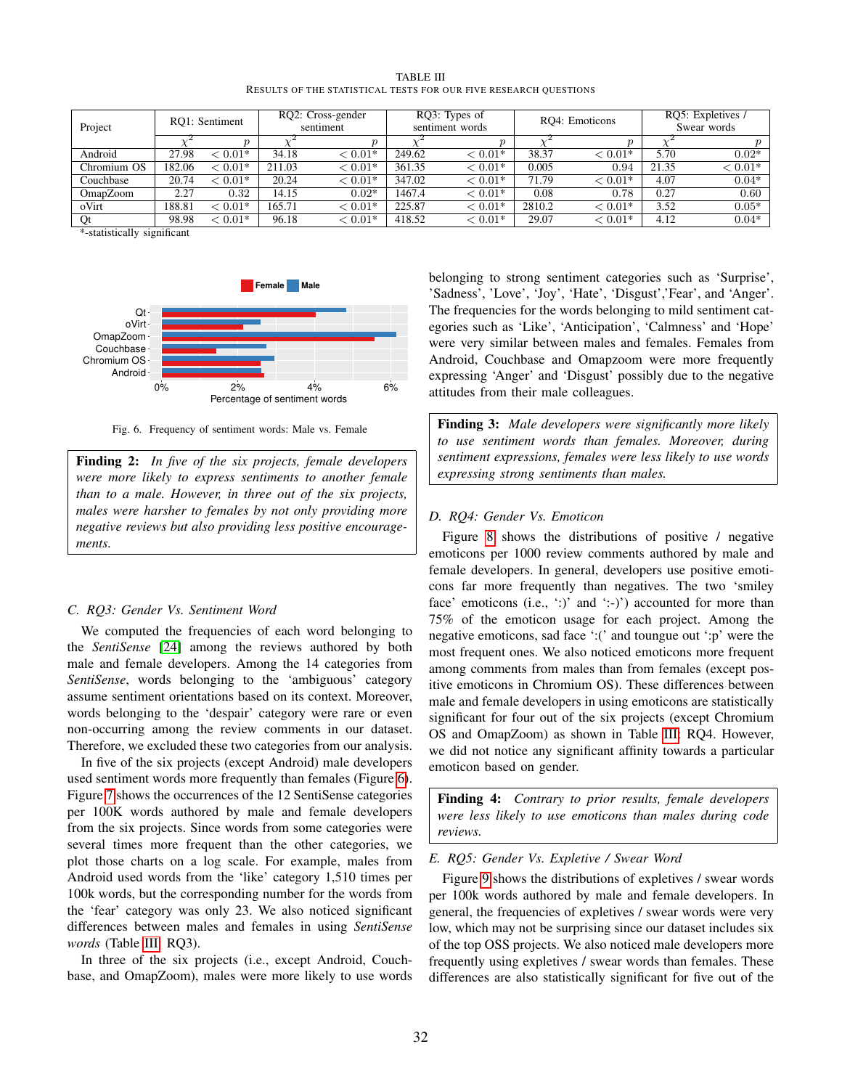| TABLE III                                                        |  |  |  |  |  |  |  |  |
|------------------------------------------------------------------|--|--|--|--|--|--|--|--|
| RESULTS OF THE STATISTICAL TESTS FOR OUR FIVE RESEARCH QUESTIONS |  |  |  |  |  |  |  |  |

<span id="page-6-0"></span>

| Project     | RO1: Sentiment |                     | RQ2: Cross-gender<br>sentiment |                  | RQ3: Types of<br>sentiment words |                  | RO4: Emoticons |                     | RQ5: Expletives /<br>Swear words |           |
|-------------|----------------|---------------------|--------------------------------|------------------|----------------------------------|------------------|----------------|---------------------|----------------------------------|-----------|
|             |                | $\boldsymbol{\eta}$ |                                | $\boldsymbol{v}$ |                                  | $\boldsymbol{v}$ |                | $\boldsymbol{\eta}$ |                                  |           |
| Android     | 27.98          | $< 0.01*$           | 34.18                          | $< 0.01*$        | 249.62                           | $< 0.01*$        | 38.37          | $< 0.01*$           | 5.70                             | $0.02*$   |
| Chromium OS | 182.06         | $< 0.01*$           | 211.03                         | $< 0.01*$        | 361.35                           | $< 0.01*$        | 0.005          | 0.94                | 21.35                            | $< 0.01*$ |
| Couchbase   | 20.74          | $< 0.01*$           | 20.24                          | $< 0.01*$        | 347.02                           | $< 0.01*$        | 71.79          | $< 0.01*$           | 4.07                             | $0.04*$   |
| OmapZoom    | 2.27           | $0.32\,$            | 14.15                          | $0.02*$          | 1467.4                           | $< 0.01*$        | 0.08           | 0.78                | 0.27                             | 0.60      |
| oVirt       | 188.81         | $0.01*$             | 165.71                         | $< 0.01*$        | 225.87                           | $< 0.01*$        | 2810.2         | $< 0.01*$           | 3.52                             | $0.05*$   |
| Qt          | 98.98          | $< 0.01*$           | 96.18                          | $< 0.01*$        | 418.52                           | $< 0.01*$        | 29.07          | $< 0.01*$           | 4.12                             | $0.04*$   |

\*-statistically significant



<span id="page-6-1"></span>Fig. 6. Frequency of sentiment words: Male vs. Female

Finding 2: *In five of the six projects, female developers were more likely to express sentiments to another female than to a male. However, in three out of the six projects, males were harsher to females by not only providing more negative reviews but also providing less positive encouragements.*

## <span id="page-6-2"></span>*C. RQ3: Gender Vs. Sentiment Word*

We computed the frequencies of each word belonging to the *SentiSense* [\[24\]](#page-10-31) among the reviews authored by both male and female developers. Among the 14 categories from *SentiSense*, words belonging to the 'ambiguous' category assume sentiment orientations based on its context. Moreover, words belonging to the 'despair' category were rare or even non-occurring among the review comments in our dataset. Therefore, we excluded these two categories from our analysis.

In five of the six projects (except Android) male developers used sentiment words more frequently than females (Figure [6\)](#page-6-1). Figure [7](#page-7-1) shows the occurrences of the 12 SentiSense categories per 100K words authored by male and female developers from the six projects. Since words from some categories were several times more frequent than the other categories, we plot those charts on a log scale. For example, males from Android used words from the 'like' category 1,510 times per 100k words, but the corresponding number for the words from the 'fear' category was only 23. We also noticed significant differences between males and females in using *SentiSense words* (Table [III:](#page-6-0) RQ3).

In three of the six projects (i.e., except Android, Couchbase, and OmapZoom), males were more likely to use words belonging to strong sentiment categories such as 'Surprise', 'Sadness', 'Love', 'Joy', 'Hate', 'Disgust','Fear', and 'Anger'. The frequencies for the words belonging to mild sentiment categories such as 'Like', 'Anticipation', 'Calmness' and 'Hope' were very similar between males and females. Females from Android, Couchbase and Omapzoom were more frequently expressing 'Anger' and 'Disgust' possibly due to the negative attitudes from their male colleagues.

Finding 3: *Male developers were significantly more likely to use sentiment words than females. Moreover, during sentiment expressions, females were less likely to use words expressing strong sentiments than males.*

# *D. RQ4: Gender Vs. Emoticon*

Figure [8](#page-7-2) shows the distributions of positive / negative emoticons per 1000 review comments authored by male and female developers. In general, developers use positive emoticons far more frequently than negatives. The two 'smiley face' emoticons (i.e., ':)' and ':-)') accounted for more than 75% of the emoticon usage for each project. Among the negative emoticons, sad face ':(' and toungue out ':p' were the most frequent ones. We also noticed emoticons more frequent among comments from males than from females (except positive emoticons in Chromium OS). These differences between male and female developers in using emoticons are statistically significant for four out of the six projects (except Chromium OS and OmapZoom) as shown in Table [III:](#page-6-0) RQ4. However, we did not notice any significant affinity towards a particular emoticon based on gender.

Finding 4: *Contrary to prior results, female developers were less likely to use emoticons than males during code reviews.*

# <span id="page-6-3"></span>*E. RQ5: Gender Vs. Expletive / Swear Word*

Figure [9](#page-7-3) shows the distributions of expletives / swear words per 100k words authored by male and female developers. In general, the frequencies of expletives / swear words were very low, which may not be surprising since our dataset includes six of the top OSS projects. We also noticed male developers more frequently using expletives / swear words than females. These differences are also statistically significant for five out of the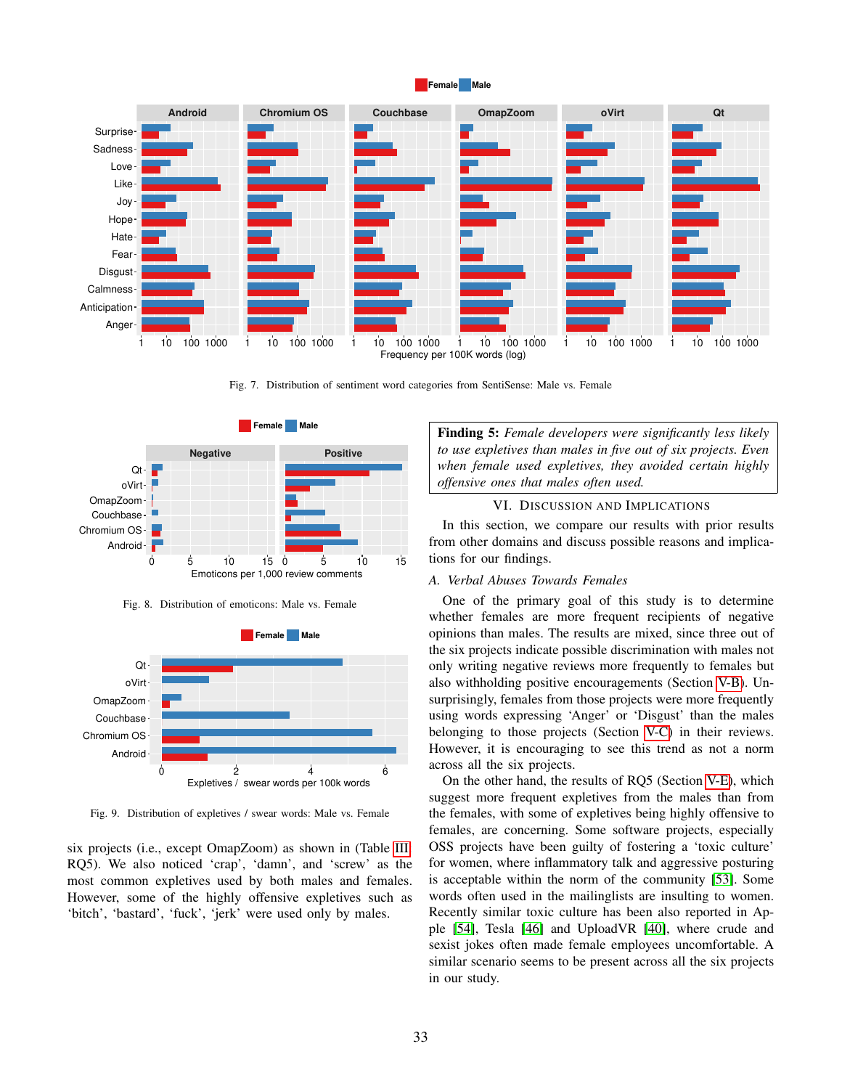

<span id="page-7-1"></span>Fig. 7. Distribution of sentiment word categories from SentiSense: Male vs. Female



<span id="page-7-2"></span>Fig. 8. Distribution of emoticons: Male vs. Female



<span id="page-7-3"></span>Fig. 9. Distribution of expletives / swear words: Male vs. Female

six projects (i.e., except OmapZoom) as shown in (Table [III:](#page-6-0) RQ5). We also noticed 'crap', 'damn', and 'screw' as the most common expletives used by both males and females. However, some of the highly offensive expletives such as 'bitch', 'bastard', 'fuck', 'jerk' were used only by males.

Finding 5: *Female developers were significantly less likely to use expletives than males in five out of six projects. Even when female used expletives, they avoided certain highly offensive ones that males often used.*

# VI. DISCUSSION AND IMPLICATIONS

<span id="page-7-0"></span>In this section, we compare our results with prior results from other domains and discuss possible reasons and implications for our findings.

# *A. Verbal Abuses Towards Females*

One of the primary goal of this study is to determine whether females are more frequent recipients of negative opinions than males. The results are mixed, since three out of the six projects indicate possible discrimination with males not only writing negative reviews more frequently to females but also withholding positive encouragements (Section [V-B\)](#page-5-5). Unsurprisingly, females from those projects were more frequently using words expressing 'Anger' or 'Disgust' than the males belonging to those projects (Section [V-C\)](#page-6-2) in their reviews. However, it is encouraging to see this trend as not a norm across all the six projects.

On the other hand, the results of RQ5 (Section [V-E\)](#page-6-3), which suggest more frequent expletives from the males than from the females, with some of expletives being highly offensive to females, are concerning. Some software projects, especially OSS projects have been guilty of fostering a 'toxic culture' for women, where inflammatory talk and aggressive posturing is acceptable within the norm of the community [\[53\]](#page-11-9). Some words often used in the mailinglists are insulting to women. Recently similar toxic culture has been also reported in Apple [\[54\]](#page-11-22), Tesla [\[46\]](#page-10-32) and UploadVR [\[40\]](#page-10-33), where crude and sexist jokes often made female employees uncomfortable. A similar scenario seems to be present across all the six projects in our study.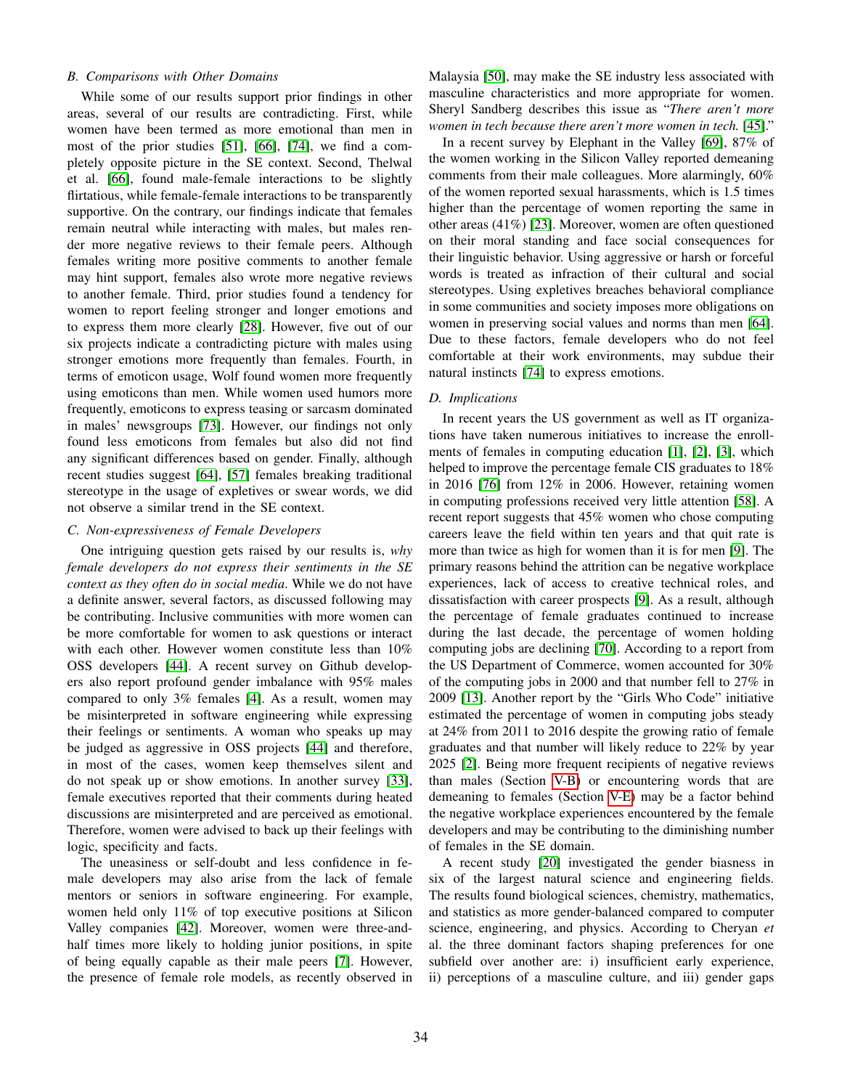# *B. Comparisons with Other Domains*

While some of our results support prior findings in other areas, several of our results are contradicting. First, while women have been termed as more emotional than men in most of the prior studies [\[51\]](#page-11-8), [\[66\]](#page-11-6), [\[74\]](#page-11-15), we find a completely opposite picture in the SE context. Second, Thelwal et al. [\[66\]](#page-11-6), found male-female interactions to be slightly flirtatious, while female-female interactions to be transparently supportive. On the contrary, our findings indicate that females remain neutral while interacting with males, but males render more negative reviews to their female peers. Although females writing more positive comments to another female may hint support, females also wrote more negative reviews to another female. Third, prior studies found a tendency for women to report feeling stronger and longer emotions and to express them more clearly [\[28\]](#page-10-34). However, five out of our six projects indicate a contradicting picture with males using stronger emotions more frequently than females. Fourth, in terms of emoticon usage, Wolf found women more frequently using emoticons than men. While women used humors more frequently, emoticons to express teasing or sarcasm dominated in males' newsgroups [\[73\]](#page-11-7). However, our findings not only found less emoticons from females but also did not find any significant differences based on gender. Finally, although recent studies suggest [\[64\]](#page-11-16), [\[57\]](#page-11-18) females breaking traditional stereotype in the usage of expletives or swear words, we did not observe a similar trend in the SE context.

# *C. Non-expressiveness of Female Developers*

One intriguing question gets raised by our results is, *why female developers do not express their sentiments in the SE context as they often do in social media*. While we do not have a definite answer, several factors, as discussed following may be contributing. Inclusive communities with more women can be more comfortable for women to ask questions or interact with each other. However women constitute less than 10% OSS developers [\[44\]](#page-10-35). A recent survey on Github developers also report profound gender imbalance with 95% males compared to only 3% females [\[4\]](#page-10-36). As a result, women may be misinterpreted in software engineering while expressing their feelings or sentiments. A woman who speaks up may be judged as aggressive in OSS projects [\[44\]](#page-10-35) and therefore, in most of the cases, women keep themselves silent and do not speak up or show emotions. In another survey [\[33\]](#page-10-37), female executives reported that their comments during heated discussions are misinterpreted and are perceived as emotional. Therefore, women were advised to back up their feelings with logic, specificity and facts.

The uneasiness or self-doubt and less confidence in female developers may also arise from the lack of female mentors or seniors in software engineering. For example, women held only 11% of top executive positions at Silicon Valley companies [\[42\]](#page-10-38). Moreover, women were three-andhalf times more likely to holding junior positions, in spite of being equally capable as their male peers [\[7\]](#page-10-39). However, the presence of female role models, as recently observed in

Malaysia [\[50\]](#page-10-40), may make the SE industry less associated with masculine characteristics and more appropriate for women. Sheryl Sandberg describes this issue as "*There aren't more women in tech because there aren't more women in tech.* [\[45\]](#page-10-41)."

In a recent survey by Elephant in the Valley [\[69\]](#page-11-23), 87% of the women working in the Silicon Valley reported demeaning comments from their male colleagues. More alarmingly, 60% of the women reported sexual harassments, which is 1.5 times higher than the percentage of women reporting the same in other areas (41%) [\[23\]](#page-10-2). Moreover, women are often questioned on their moral standing and face social consequences for their linguistic behavior. Using aggressive or harsh or forceful words is treated as infraction of their cultural and social stereotypes. Using expletives breaches behavioral compliance in some communities and society imposes more obligations on women in preserving social values and norms than men [\[64\]](#page-11-16). Due to these factors, female developers who do not feel comfortable at their work environments, may subdue their natural instincts [\[74\]](#page-11-15) to express emotions.

#### *D. Implications*

In recent years the US government as well as IT organizations have taken numerous initiatives to increase the enrollments of females in computing education [\[1\]](#page-10-42), [\[2\]](#page-10-43), [\[3\]](#page-10-44), which helped to improve the percentage female CIS graduates to 18% in 2016 [\[76\]](#page-11-24) from 12% in 2006. However, retaining women in computing professions received very little attention [\[58\]](#page-11-2). A recent report suggests that 45% women who chose computing careers leave the field within ten years and that quit rate is more than twice as high for women than it is for men [\[9\]](#page-10-45). The primary reasons behind the attrition can be negative workplace experiences, lack of access to creative technical roles, and dissatisfaction with career prospects [\[9\]](#page-10-45). As a result, although the percentage of female graduates continued to increase during the last decade, the percentage of women holding computing jobs are declining [\[70\]](#page-11-25). According to a report from the US Department of Commerce, women accounted for 30% of the computing jobs in 2000 and that number fell to 27% in 2009 [\[13\]](#page-10-46). Another report by the "Girls Who Code" initiative estimated the percentage of women in computing jobs steady at 24% from 2011 to 2016 despite the growing ratio of female graduates and that number will likely reduce to 22% by year 2025 [\[2\]](#page-10-43). Being more frequent recipients of negative reviews than males (Section [V-B\)](#page-5-5) or encountering words that are demeaning to females (Section [V-E\)](#page-6-3) may be a factor behind the negative workplace experiences encountered by the female developers and may be contributing to the diminishing number of females in the SE domain.

A recent study [\[20\]](#page-10-47) investigated the gender biasness in six of the largest natural science and engineering fields. The results found biological sciences, chemistry, mathematics, and statistics as more gender-balanced compared to computer science, engineering, and physics. According to Cheryan *et* al. the three dominant factors shaping preferences for one subfield over another are: i) insufficient early experience, ii) perceptions of a masculine culture, and iii) gender gaps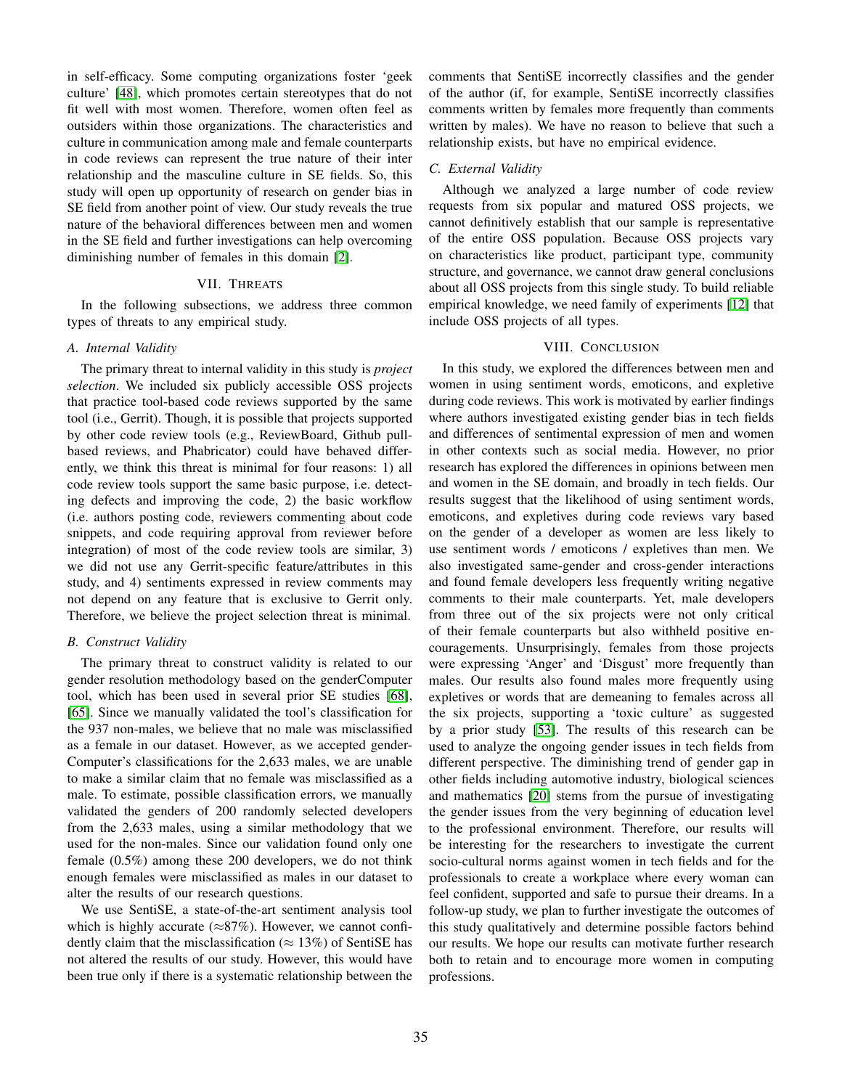in self-efficacy. Some computing organizations foster 'geek culture' [\[48\]](#page-10-48), which promotes certain stereotypes that do not fit well with most women. Therefore, women often feel as outsiders within those organizations. The characteristics and culture in communication among male and female counterparts in code reviews can represent the true nature of their inter relationship and the masculine culture in SE fields. So, this study will open up opportunity of research on gender bias in SE field from another point of view. Our study reveals the true nature of the behavioral differences between men and women in the SE field and further investigations can help overcoming diminishing number of females in this domain [\[2\]](#page-10-43).

#### VII. THREATS

<span id="page-9-0"></span>In the following subsections, we address three common types of threats to any empirical study.

# *A. Internal Validity*

The primary threat to internal validity in this study is *project selection*. We included six publicly accessible OSS projects that practice tool-based code reviews supported by the same tool (i.e., Gerrit). Though, it is possible that projects supported by other code review tools (e.g., ReviewBoard, Github pullbased reviews, and Phabricator) could have behaved differently, we think this threat is minimal for four reasons: 1) all code review tools support the same basic purpose, i.e. detecting defects and improving the code, 2) the basic workflow (i.e. authors posting code, reviewers commenting about code snippets, and code requiring approval from reviewer before integration) of most of the code review tools are similar, 3) we did not use any Gerrit-specific feature/attributes in this study, and 4) sentiments expressed in review comments may not depend on any feature that is exclusive to Gerrit only. Therefore, we believe the project selection threat is minimal.

# *B. Construct Validity*

The primary threat to construct validity is related to our gender resolution methodology based on the genderComputer tool, which has been used in several prior SE studies [\[68\]](#page-11-11), [\[65\]](#page-11-3). Since we manually validated the tool's classification for the 937 non-males, we believe that no male was misclassified as a female in our dataset. However, as we accepted gender-Computer's classifications for the 2,633 males, we are unable to make a similar claim that no female was misclassified as a male. To estimate, possible classification errors, we manually validated the genders of 200 randomly selected developers from the 2,633 males, using a similar methodology that we used for the non-males. Since our validation found only one female (0.5%) among these 200 developers, we do not think enough females were misclassified as males in our dataset to alter the results of our research questions.

We use SentiSE, a state-of-the-art sentiment analysis tool which is highly accurate ( $\approx$ 87%). However, we cannot confidently claim that the misclassification ( $\approx 13\%$ ) of SentiSE has not altered the results of our study. However, this would have been true only if there is a systematic relationship between the comments that SentiSE incorrectly classifies and the gender of the author (if, for example, SentiSE incorrectly classifies comments written by females more frequently than comments written by males). We have no reason to believe that such a relationship exists, but have no empirical evidence.

# *C. External Validity*

Although we analyzed a large number of code review requests from six popular and matured OSS projects, we cannot definitively establish that our sample is representative of the entire OSS population. Because OSS projects vary on characteristics like product, participant type, community structure, and governance, we cannot draw general conclusions about all OSS projects from this single study. To build reliable empirical knowledge, we need family of experiments [\[12\]](#page-10-49) that include OSS projects of all types.

# VIII. CONCLUSION

<span id="page-9-1"></span>In this study, we explored the differences between men and women in using sentiment words, emoticons, and expletive during code reviews. This work is motivated by earlier findings where authors investigated existing gender bias in tech fields and differences of sentimental expression of men and women in other contexts such as social media. However, no prior research has explored the differences in opinions between men and women in the SE domain, and broadly in tech fields. Our results suggest that the likelihood of using sentiment words, emoticons, and expletives during code reviews vary based on the gender of a developer as women are less likely to use sentiment words / emoticons / expletives than men. We also investigated same-gender and cross-gender interactions and found female developers less frequently writing negative comments to their male counterparts. Yet, male developers from three out of the six projects were not only critical of their female counterparts but also withheld positive encouragements. Unsurprisingly, females from those projects were expressing 'Anger' and 'Disgust' more frequently than males. Our results also found males more frequently using expletives or words that are demeaning to females across all the six projects, supporting a 'toxic culture' as suggested by a prior study [\[53\]](#page-11-9). The results of this research can be used to analyze the ongoing gender issues in tech fields from different perspective. The diminishing trend of gender gap in other fields including automotive industry, biological sciences and mathematics [\[20\]](#page-10-47) stems from the pursue of investigating the gender issues from the very beginning of education level to the professional environment. Therefore, our results will be interesting for the researchers to investigate the current socio-cultural norms against women in tech fields and for the professionals to create a workplace where every woman can feel confident, supported and safe to pursue their dreams. In a follow-up study, we plan to further investigate the outcomes of this study qualitatively and determine possible factors behind our results. We hope our results can motivate further research both to retain and to encourage more women in computing professions.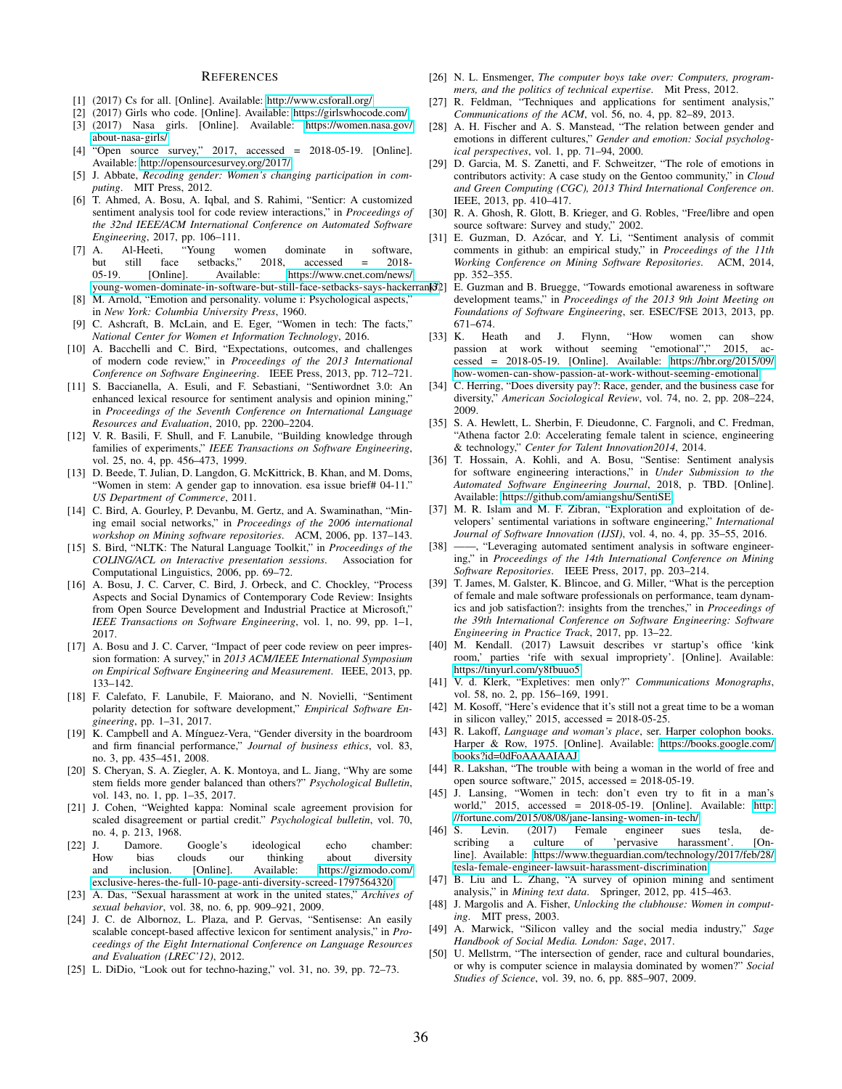#### **REFERENCES**

- <span id="page-10-42"></span>[1] (2017) Cs for all. [Online]. Available:<http://www.csforall.org/>
- <span id="page-10-43"></span>[2] (2017) Girls who code. [Online]. Available:<https://girlswhocode.com/>
- <span id="page-10-44"></span>[3] (2017) Nasa girls. [Online]. Available: [https://women.nasa.gov/](https://women.nasa.gov/about-nasa-girls/) [about-nasa-girls/](https://women.nasa.gov/about-nasa-girls/)
- <span id="page-10-36"></span>[4] "Open source survey," 2017, accessed = 2018-05-19. [Online]. Available:<http://opensourcesurvey.org/2017/>
- <span id="page-10-0"></span>[5] J. Abbate, *Recoding gender: Women's changing participation in computing*. MIT Press, 2012.
- <span id="page-10-7"></span>[6] T. Ahmed, A. Bosu, A. Iqbal, and S. Rahimi, "Senticr: A customized sentiment analysis tool for code review interactions," in *Proceedings of the 32nd IEEE/ACM International Conference on Automated Software Engineering*, 2017, pp. 106–111.
- <span id="page-10-39"></span>[7] A. Al-Heeti, "Young women dominate in software, but still face setbacks," 2018, accessed = 2018- 05-19. [Online]. Available: [https://www.cnet.com/news/](https://www.cnet.com/news/young-women-dominate-in-software-but-still-face-setbacks-says-hackerrank/) [young-women-dominate-in-software-but-still-face-setbacks-says-hackerrank/](https://www.cnet.com/news/young-women-dominate-in-software-but-still-face-setbacks-says-hackerrank/)
- <span id="page-10-30"></span>[8] M. Arnold, "Emotion and personality. volume i: Psychological aspects," in *New York: Columbia University Press*, 1960.
- <span id="page-10-45"></span>[9] C. Ashcraft, B. McLain, and E. Eger, "Women in tech: The facts," *National Center for Women et Information Technology*, 2016.
- <span id="page-10-21"></span>[10] A. Bacchelli and C. Bird, "Expectations, outcomes, and challenges of modern code review," in *Proceedings of the 2013 International Conference on Software Engineering*. IEEE Press, 2013, pp. 712–721.
- <span id="page-10-29"></span>[11] S. Baccianella, A. Esuli, and F. Sebastiani, "Sentiwordnet 3.0: An enhanced lexical resource for sentiment analysis and opinion mining," in *Proceedings of the Seventh Conference on International Language Resources and Evaluation*, 2010, pp. 2200–2204.
- <span id="page-10-49"></span>[12] V. R. Basili, F. Shull, and F. Lanubile, "Building knowledge through families of experiments," *IEEE Transactions on Software Engineering*, vol. 25, no. 4, pp. 456–473, 1999.
- <span id="page-10-46"></span>[13] D. Beede, T. Julian, D. Langdon, G. McKittrick, B. Khan, and M. Doms, "Women in stem: A gender gap to innovation. esa issue brief# 04-11." *US Department of Commerce*, 2011.
- <span id="page-10-25"></span>[14] C. Bird, A. Gourley, P. Devanbu, M. Gertz, and A. Swaminathan, "Mining email social networks," in *Proceedings of the 2006 international workshop on Mining software repositories*. ACM, 2006, pp. 137–143.
- <span id="page-10-18"></span>[15] S. Bird, "NLTK: The Natural Language Toolkit," in *Proceedings of the COLING/ACL on Interactive presentation sessions*. Association for Computational Linguistics, 2006, pp. 69–72.
- <span id="page-10-10"></span>[16] A. Bosu, J. C. Carver, C. Bird, J. Orbeck, and C. Chockley, "Process Aspects and Social Dynamics of Contemporary Code Review: Insights from Open Source Development and Industrial Practice at Microsoft," *IEEE Transactions on Software Engineering*, vol. 1, no. 99, pp. 1–1, 2017.
- <span id="page-10-24"></span>[17] A. Bosu and J. C. Carver, "Impact of peer code review on peer impression formation: A survey," in *2013 ACM/IEEE International Symposium on Empirical Software Engineering and Measurement*. IEEE, 2013, pp. 133–142.
- <span id="page-10-8"></span>[18] F. Calefato, F. Lanubile, F. Maiorano, and N. Novielli, "Sentiment polarity detection for software development," *Empirical Software Engineering*, pp. 1–31, 2017.
- <span id="page-10-12"></span>[19] K. Campbell and A. Mínguez-Vera, "Gender diversity in the boardroom and firm financial performance," *Journal of business ethics*, vol. 83, no. 3, pp. 435–451, 2008.
- <span id="page-10-47"></span>[20] S. Cheryan, S. A. Ziegler, A. K. Montoya, and L. Jiang, "Why are some stem fields more gender balanced than others?" *Psychological Bulletin*, vol. 143, no. 1, pp. 1–35, 2017.
- <span id="page-10-28"></span>[21] J. Cohen, "Weighted kappa: Nominal scale agreement provision for scaled disagreement or partial credit." *Psychological bulletin*, vol. 70,
- <span id="page-10-5"></span>no. 4, p. 213, 1968.<br>[22] J. Damore. Damore. Google's ideological echo chamber: How bias clouds our thinking about diversity and inclusion. [Online]. Available: [https://gizmodo.com/](https://gizmodo.com/exclusive-heres-the-full-10-page-anti-diversity-screed-1797564320) [exclusive-heres-the-full-10-page-anti-diversity-screed-1797564320](https://gizmodo.com/exclusive-heres-the-full-10-page-anti-diversity-screed-1797564320)
- <span id="page-10-2"></span>[23] A. Das, "Sexual harassment at work in the united states," *Archives of sexual behavior*, vol. 38, no. 6, pp. 909–921, 2009.
- <span id="page-10-31"></span>[24] J. C. de Albornoz, L. Plaza, and P. Gervas, "Sentisense: An easily scalable concept-based affective lexicon for sentiment analysis," in *Proceedings of the Eight International Conference on Language Resources and Evaluation (LREC'12)*, 2012.
- <span id="page-10-3"></span>[25] L. DiDio, "Look out for techno-hazing," vol. 31, no. 39, pp. 72–73.
- <span id="page-10-1"></span>[26] N. L. Ensmenger, *The computer boys take over: Computers, programmers, and the politics of technical expertise*. Mit Press, 2012.
- <span id="page-10-17"></span>R. Feldman, "Techniques and applications for sentiment analysis," *Communications of the ACM*, vol. 56, no. 4, pp. 82–89, 2013.
- <span id="page-10-34"></span>[28] A. H. Fischer and A. S. Manstead, "The relation between gender and emotions in different cultures," *Gender and emotion: Social psychological perspectives*, vol. 1, pp. 71–94, 2000.
- <span id="page-10-19"></span>[29] D. Garcia, M. S. Zanetti, and F. Schweitzer, "The role of emotions in contributors activity: A case study on the Gentoo community," in *Cloud and Green Computing (CGC), 2013 Third International Conference on*. IEEE, 2013, pp. 410–417.
- <span id="page-10-11"></span>[30] R. A. Ghosh, R. Glott, B. Krieger, and G. Robles, "Free/libre and open source software: Survey and study," 2002.
- <span id="page-10-6"></span>[31] E. Guzman, D. Azócar, and Y. Li, "Sentiment analysis of commit comments in github: an empirical study," in *Proceedings of the 11th Working Conference on Mining Software Repositories*. ACM, 2014, pp. 352–355.
- <span id="page-10-9"></span>E. Guzman and B. Bruegge, "Towards emotional awareness in software development teams," in *Proceedings of the 2013 9th Joint Meeting on Foundations of Software Engineering*, ser. ESEC/FSE 2013, 2013, pp. 671–674.
- <span id="page-10-37"></span>[33] K. Heath and J. Flynn, "How women can show passion at work without seeming "emotional"," 2015, accessed = 2018-05-19. [Online]. Available: [https://hbr.org/2015/09/](https://hbr.org/2015/09/how-women-can-show-passion-at-work-without-seeming-emotional) [how-women-can-show-passion-at-work-without-seeming-emotional](https://hbr.org/2015/09/how-women-can-show-passion-at-work-without-seeming-emotional)
- <span id="page-10-13"></span>[34] C. Herring, "Does diversity pay?: Race, gender, and the business case for diversity," *American Sociological Review*, vol. 74, no. 2, pp. 208–224, 2009.
- <span id="page-10-14"></span>[35] S. A. Hewlett, L. Sherbin, F. Dieudonne, C. Fargnoli, and C. Fredman, "Athena factor 2.0: Accelerating female talent in science, engineering & technology," *Center for Talent Innovation2014*, 2014.
- <span id="page-10-27"></span>[36] T. Hossain, A. Kohli, and A. Bosu, "Sentise: Sentiment analysis for software engineering interactions," in *Under Submission to the Automated Software Engineering Journal*, 2018, p. TBD. [Online]. Available:<https://github.com/amiangshu/SentiSE>
- <span id="page-10-20"></span>[37] M. R. Islam and M. F. Zibran, "Exploration and exploitation of developers' sentimental variations in software engineering," *International Journal of Software Innovation (IJSI)*, vol. 4, no. 4, pp. 35–55, 2016.
- <span id="page-10-26"></span>[38] ——, "Leveraging automated sentiment analysis in software engineering," in *Proceedings of the 14th International Conference on Mining Software Repositories*. IEEE Press, 2017, pp. 203–214.
- <span id="page-10-15"></span>[39] T. James, M. Galster, K. Blincoe, and G. Miller, "What is the perception of female and male software professionals on performance, team dynamics and job satisfaction?: insights from the trenches," in *Proceedings of the 39th International Conference on Software Engineering: Software Engineering in Practice Track*, 2017, pp. 13–22.
- <span id="page-10-33"></span>[40] M. Kendall. (2017) Lawsuit describes vr startup's office 'kink room,' parties 'rife with sexual impropriety'. [Online]. Available: <https://tinyurl.com/y8fbuuo5>
- <span id="page-10-23"></span>[41] V. d. Klerk, "Expletives: men only?" *Communications Monographs*, vol. 58, no. 2, pp. 156–169, 1991.
- <span id="page-10-38"></span>[42] M. Kosoff, "Here's evidence that it's still not a great time to be a woman in silicon valley," 2015, accessed = 2018-05-25.
- <span id="page-10-22"></span>[43] R. Lakoff, *Language and woman's place*, ser. Harper colophon books. Harper & Row, 1975. [Online]. Available: [https://books.google.com/](https://books.google.com/books?id=0dFoAAAAIAAJ) [books?id=0dFoAAAAIAAJ](https://books.google.com/books?id=0dFoAAAAIAAJ)
- <span id="page-10-35"></span>[44] R. Lakshan, "The trouble with being a woman in the world of free and open source software," 2015, accessed = 2018-05-19.
- <span id="page-10-41"></span>[45] J. Lansing, "Women in tech: don't even try to fit in a man's world," 2015, accessed = 2018-05-19. [Online]. Available: [http:](http://fortune.com/2015/08/08/jane-lansing-women-in-tech/) [//fortune.com/2015/08/08/jane-lansing-women-in-tech/](http://fortune.com/2015/08/08/jane-lansing-women-in-tech/)
- <span id="page-10-32"></span>[46] S. Levin. (2017) Female engineer sues tesla, describing a culture of 'pervasive harassment'. [Online]. Available: [https://www.theguardian.com/technology/2017/feb/28/](https://www.theguardian.com/technology/2017/feb/28/tesla-female-engineer-lawsuit-harassment-discrimination) [tesla-female-engineer-lawsuit-harassment-discrimination](https://www.theguardian.com/technology/2017/feb/28/tesla-female-engineer-lawsuit-harassment-discrimination)
- <span id="page-10-16"></span>[47] B. Liu and L. Zhang, "A survey of opinion mining and sentiment analysis," in *Mining text data*. Springer, 2012, pp. 415–463.
- <span id="page-10-48"></span>[48] J. Margolis and A. Fisher, *Unlocking the clubhouse: Women in computing*. MIT press, 2003.
- <span id="page-10-4"></span>[49] A. Marwick, "Silicon valley and the social media industry," *Sage Handbook of Social Media. London: Sage*, 2017.
- <span id="page-10-40"></span>[50] U. Mellstrm, "The intersection of gender, race and cultural boundaries, or why is computer science in malaysia dominated by women?" *Social Studies of Science*, vol. 39, no. 6, pp. 885–907, 2009.